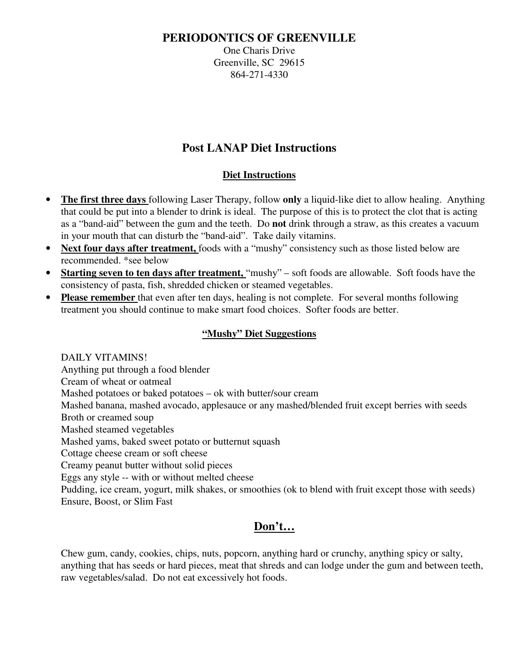### **PERIODONTICS OF GREENVILLE**

One Charis Drive Greenville, SC 29615 864-271-4330

# **Post LANAP Diet Instructions**

#### **Diet Instructions**

- **The first three days** following Laser Therapy, follow **only** a liquid-like diet to allow healing. Anything that could be put into a blender to drink is ideal. The purpose of this is to protect the clot that is acting as a "band-aid" between the gum and the teeth. Do **not** drink through a straw, as this creates a vacuum in your mouth that can disturb the "band-aid". Take daily vitamins.
- **Next four days after treatment,** foods with a "mushy" consistency such as those listed below are recommended. \*see below
- **Starting seven to ten days after treatment,** "mushy" soft foods are allowable. Soft foods have the consistency of pasta, fish, shredded chicken or steamed vegetables.
- **Please remember** that even after ten days, healing is not complete. For several months following treatment you should continue to make smart food choices. Softer foods are better.

#### **"Mushy" Diet Suggestions**

 DAILY VITAMINS! Anything put through a food blender Cream of wheat or oatmeal Mashed potatoes or baked potatoes – ok with butter/sour cream Mashed banana, mashed avocado, applesauce or any mashed/blended fruit except berries with seeds Broth or creamed soup Mashed steamed vegetables Mashed yams, baked sweet potato or butternut squash Cottage cheese cream or soft cheese Creamy peanut butter without solid pieces Eggs any style -- with or without melted cheese Pudding, ice cream, yogurt, milk shakes, or smoothies (ok to blend with fruit except those with seeds) Ensure, Boost, or Slim Fast

## **Don't…**

Chew gum, candy, cookies, chips, nuts, popcorn, anything hard or crunchy, anything spicy or salty, anything that has seeds or hard pieces, meat that shreds and can lodge under the gum and between teeth, raw vegetables/salad. Do not eat excessively hot foods.